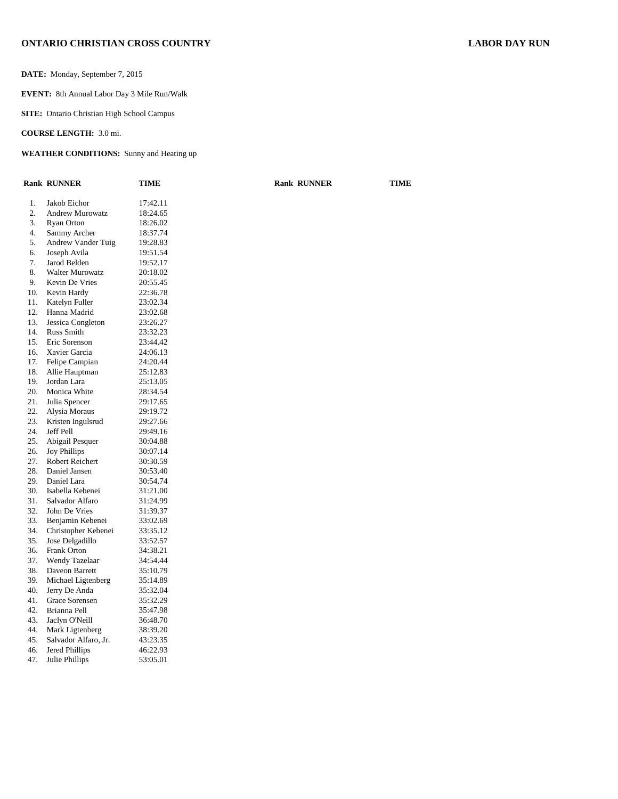### **ONTARIO CHRISTIAN CROSS COUNTRY LABOR DAY RUN**

**DATE:** Monday, September 7, 2015

**EVENT:** 8th Annual Labor Day 3 Mile Run/Walk

**SITE:** Ontario Christian High School Campus

**COURSE LENGTH:** 3.0 mi.

### **WEATHER CONDITIONS:** Sunny and Heating up

|     | <b>Rank RUNNER</b>     | TIME     | <b>Rank RUNNER</b> | <b>TIME</b> |
|-----|------------------------|----------|--------------------|-------------|
| 1.  | Jakob Eichor           | 17:42.11 |                    |             |
| 2.  | <b>Andrew Murowatz</b> | 18:24.65 |                    |             |
| 3.  | <b>Ryan Orton</b>      | 18:26.02 |                    |             |
| 4.  | Sammy Archer           | 18:37.74 |                    |             |
| 5.  | Andrew Vander Tuig     | 19:28.83 |                    |             |
| 6.  | Joseph Avila           | 19:51.54 |                    |             |
| 7.  | Jarod Belden           | 19:52.17 |                    |             |
| 8.  | <b>Walter Murowatz</b> | 20:18.02 |                    |             |
| 9.  | Kevin De Vries         | 20:55.45 |                    |             |
| 10. | Kevin Hardy            | 22:36.78 |                    |             |
| 11. | Katelyn Fuller         | 23:02.34 |                    |             |
| 12. | Hanna Madrid           | 23:02.68 |                    |             |
| 13. | Jessica Congleton      | 23:26.27 |                    |             |
| 14. | <b>Russ Smith</b>      | 23:32.23 |                    |             |
| 15. | Eric Sorenson          | 23:44.42 |                    |             |
| 16. | Xavier Garcia          | 24:06.13 |                    |             |
| 17. | Felipe Campian         | 24:20.44 |                    |             |
| 18. | Allie Hauptman         | 25:12.83 |                    |             |
| 19. | Jordan Lara            | 25:13.05 |                    |             |
| 20. | Monica White           | 28:34.54 |                    |             |
| 21. | Julia Spencer          | 29:17.65 |                    |             |
| 22. | Alysia Moraus          | 29:19.72 |                    |             |
| 23. | Kristen Ingulsrud      | 29:27.66 |                    |             |
| 24. | Jeff Pell              | 29:49.16 |                    |             |
| 25. | Abigail Pesquer        | 30:04.88 |                    |             |
| 26. | <b>Joy Phillips</b>    | 30:07.14 |                    |             |
| 27. | Robert Reichert        | 30:30.59 |                    |             |
| 28. | Daniel Jansen          | 30:53.40 |                    |             |
| 29. | Daniel Lara            | 30:54.74 |                    |             |
| 30. | Isabella Kebenei       | 31:21.00 |                    |             |
| 31. | Salvador Alfaro        | 31:24.99 |                    |             |
| 32. | John De Vries          | 31:39.37 |                    |             |
| 33. | Benjamin Kebenei       | 33:02.69 |                    |             |
| 34. | Christopher Kebenei    | 33:35.12 |                    |             |
| 35. | Jose Delgadillo        | 33:52.57 |                    |             |
| 36. | Frank Orton            | 34:38.21 |                    |             |
| 37. | Wendy Tazelaar         | 34:54.44 |                    |             |
| 38. | Daveon Barrett         | 35:10.79 |                    |             |
| 39. | Michael Ligtenberg     | 35:14.89 |                    |             |
| 40. | Jerry De Anda          | 35:32.04 |                    |             |
| 41. | Grace Sorensen         | 35:32.29 |                    |             |
| 42. | Brianna Pell           | 35:47.98 |                    |             |
| 43. | Jaclyn O'Neill         | 36:48.70 |                    |             |
| 44. | Mark Ligtenberg        | 38:39.20 |                    |             |
| 45. | Salvador Alfaro, Jr.   | 43:23.35 |                    |             |
| 46. | Jered Phillips         | 46:22.93 |                    |             |
| 47. | Julie Phillips         | 53:05.01 |                    |             |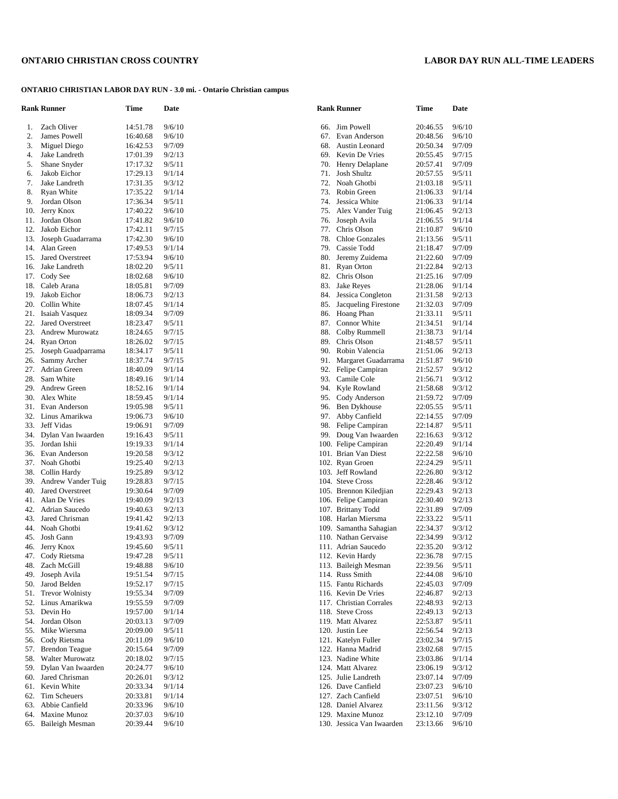# **ONTARIO CHRISTIAN CROSS COUNTRY LABOR DAY RUN ALL-TIME LEADERS**

# **ONTARIO CHRISTIAN LABOR DAY RUN - 3.0 mi. - Ontario Christian campus**

|     | <b>Rank Runner</b>      | Time                 | Date   |     | <b>Rank Runner</b>        | Time     | Date   |
|-----|-------------------------|----------------------|--------|-----|---------------------------|----------|--------|
| 1.  | Zach Oliver             | 14:51.78             | 9/6/10 | 66. | Jim Powell                | 20:46.55 | 9/6/10 |
| 2.  | James Powell            | 16:40.68             | 9/6/10 | 67. | Evan Anderson             | 20:48.56 | 9/6/10 |
| 3.  | Miguel Diego            | 16:42.53             | 9/7/09 | 68. | Austin Leonard            | 20:50.34 | 9/7/09 |
| 4.  | Jake Landreth           | 17:01.39             | 9/2/13 | 69. | Kevin De Vries            | 20:55.45 | 9/7/15 |
| 5.  | Shane Snyder            | 17:17.32             | 9/5/11 | 70. | Henry Delaplane           | 20:57.41 | 9/7/09 |
| 6.  | Jakob Eichor            | 17:29.13             | 9/1/14 | 71. | Josh Shultz               | 20:57.55 | 9/5/11 |
| 7.  | Jake Landreth           | 17:31.35             | 9/3/12 | 72. | Noah Ghotbi               | 21:03.18 | 9/5/11 |
| 8.  | Ryan White              | 17:35.22             | 9/1/14 | 73. | Robin Green               | 21:06.33 | 9/1/14 |
| 9.  | Jordan Olson            | 17:36.34             | 9/5/11 | 74. | Jessica White             | 21:06.33 | 9/1/14 |
| 10. | Jerry Knox              | 17:40.22             | 9/6/10 | 75. | Alex Vander Tuig          | 21:06.45 | 9/2/13 |
| 11. | Jordan Olson            | 17:41.82             | 9/6/10 | 76. | Joseph Avila              | 21:06.55 | 9/1/14 |
| 12. | Jakob Eichor            | 17:42.11             | 9/7/15 | 77. | Chris Olson               | 21:10.87 | 9/6/10 |
| 13. | Joseph Guadarrama       | 17:42.30             | 9/6/10 | 78. | <b>Chloe Gonzales</b>     | 21:13.56 | 9/5/11 |
| 14. | Alan Green              | 17:49.53             | 9/1/14 | 79. | Cassie Todd               | 21:18.47 | 9/7/09 |
| 15. | <b>Jared Overstreet</b> |                      | 9/6/10 | 80. |                           |          | 9/7/09 |
|     |                         | 17:53.94             |        |     | Jeremy Zuidema            | 21:22.60 |        |
| 16. | Jake Landreth           | 18:02.20             | 9/5/11 | 81. | <b>Ryan Orton</b>         | 21:22.84 | 9/2/13 |
| 17. | Cody See                | 18:02.68             | 9/6/10 | 82. | Chris Olson               | 21:25.16 | 9/7/09 |
| 18. | Caleb Arana             | 18:05.81             | 9/7/09 | 83. | Jake Reyes                | 21:28.06 | 9/1/14 |
| 19. | Jakob Eichor            | 18:06.73             | 9/2/13 | 84. | Jessica Congleton         | 21:31.58 | 9/2/13 |
| 20. | Collin White            | 18:07.45             | 9/1/14 | 85. | Jacqueling Firestone      | 21:32.03 | 9/7/09 |
| 21. | Isaiah Vasquez          | 18:09.34             | 9/7/09 | 86. | Hoang Phan                | 21:33.11 | 9/5/11 |
| 22. | <b>Jared Overstreet</b> | 18:23.47             | 9/5/11 | 87. | Connor White              | 21:34.51 | 9/1/14 |
| 23. | <b>Andrew Murowatz</b>  | 18:24.65             | 9/7/15 | 88. | Colby Rummell             | 21:38.73 | 9/1/14 |
| 24. | <b>Ryan Orton</b>       | 18:26.02             | 9/7/15 | 89. | Chris Olson               | 21:48.57 | 9/5/11 |
| 25. | Joseph Guadparrama      | 18:34.17             | 9/5/11 | 90. | Robin Valencia            | 21:51.06 | 9/2/13 |
| 26. | Sammy Archer            | 18:37.74             | 9/7/15 | 91. | Margaret Guadarrama       | 21:51.87 | 9/6/10 |
| 27. | Adrian Green            | 18:40.09             | 9/1/14 | 92. | Felipe Campiran           | 21:52.57 | 9/3/12 |
| 28. | Sam White               | 18:49.16             | 9/1/14 | 93. | Camile Cole               | 21:56.71 | 9/3/12 |
| 29. | Andrew Green            | 18:52.16             | 9/1/14 | 94. | Kyle Rowland              | 21:58.68 | 9/3/12 |
| 30. | Alex White              | 18:59.45             | 9/1/14 | 95. | Cody Anderson             | 21:59.72 | 9/7/09 |
| 31. | Evan Anderson           | 19:05.98             | 9/5/11 | 96. | Ben Dykhouse              | 22:05.55 | 9/5/11 |
| 32. | Linus Amarikwa          | 19:06.73             | 9/6/10 | 97. | Abby Canfield             | 22:14.55 | 9/7/09 |
| 33. | Jeff Vidas              | 19:06.91             | 9/7/09 | 98. | Felipe Campiran           | 22:14.87 | 9/5/11 |
| 34. | Dylan Van Iwaarden      | 19:16.43             | 9/5/11 | 99. | Doug Van Iwaarden         | 22:16.63 | 9/3/12 |
| 35. | Jordan Ishii            | 19:19.33             | 9/1/14 |     | 100. Felipe Campiran      | 22:20.49 | 9/1/14 |
| 36. | Evan Anderson           | 19:20.58             | 9/3/12 |     | 101. Brian Van Diest      | 22:22.58 | 9/6/10 |
| 37. | Noah Ghotbi             | 19:25.40             | 9/2/13 |     | 102. Ryan Groen           | 22:24.29 | 9/5/11 |
| 38. | Collin Hardy            | 19:25.89             | 9/3/12 |     | 103. Jeff Rowland         | 22:26.80 | 9/3/12 |
| 39. | Andrew Vander Tuig      | 19:28.83             | 9/7/15 |     | 104. Steve Cross          | 22:28.46 | 9/3/12 |
| 40. | Jared Overstreet        | 19:30.64             | 9/7/09 |     | 105. Brennon Kiledjian    | 22:29.43 | 9/2/13 |
| 41. | Alan De Vries           | 19:40.09             | 9/2/13 |     | 106. Felipe Campiran      | 22:30.40 | 9/2/13 |
| 42. | Adrian Saucedo          | 19:40.63             | 9/2/13 |     | 107. Brittany Todd        | 22:31.89 | 9/7/09 |
| 43. | Jared Chrisman          | 19:41.42             | 9/2/13 |     | 108. Harlan Miersma       | 22:33.22 | 9/5/11 |
| 44. | Noah Ghotbi             | 19:41.62             | 9/3/12 |     | 109. Samantha Sahagian    | 22:34.37 | 9/3/12 |
| 45. | Josh Gann               | 19:43.93             | 9/7/09 |     | 110. Nathan Gervaise      | 22:34.99 | 9/3/12 |
| 46. | Jerry Knox              | 19:45.60             | 9/5/11 |     | 111. Adrian Saucedo       | 22:35.20 | 9/3/12 |
| 47. | Cody Rietsma            | 19:47.28             | 9/5/11 |     | 112. Kevin Hardy          | 22:36.78 | 9/7/15 |
| 48. | Zach McGill             | 19:48.88             | 9/6/10 |     | 113. Baileigh Mesman      | 22:39.56 | 9/5/11 |
| 49. | Joseph Avila            | 19:51.54             | 9/7/15 |     | 114. Russ Smith           | 22:44.08 | 9/6/10 |
| 50. | Jarod Belden            | 19:52.17             | 9/7/15 |     | 115. Fantu Richards       | 22:45.03 | 9/7/09 |
| 51. | <b>Trevor Wolnisty</b>  | 19:55.34             | 9/7/09 |     | 116. Kevin De Vries       | 22:46.87 | 9/2/13 |
| 52. | Linus Amarikwa          |                      |        |     | 117. Christian Corrales   |          |        |
|     |                         | 19:55.59<br>19:57.00 | 9/7/09 |     |                           | 22:48.93 | 9/2/13 |
| 53. | Devin Ho                |                      | 9/1/14 |     | 118. Steve Cross          | 22:49.13 | 9/2/13 |
| 54. | Jordan Olson            | 20:03.13             | 9/7/09 |     | 119. Matt Alvarez         | 22:53.87 | 9/5/11 |
| 55. | Mike Wiersma            | 20:09.00             | 9/5/11 |     | 120. Justin Lee           | 22:56.54 | 9/2/13 |
| 56. | Cody Rietsma            | 20:11.09             | 9/6/10 |     | 121. Katelyn Fuller       | 23:02.34 | 9/7/15 |
| 57. | <b>Brendon Teague</b>   | 20:15.64             | 9/7/09 |     | 122. Hanna Madrid         | 23:02.68 | 9/7/15 |
| 58. | <b>Walter Murowatz</b>  | 20:18.02             | 9/7/15 |     | 123. Nadine White         | 23:03.86 | 9/1/14 |
| 59. | Dylan Van Iwaarden      | 20:24.77             | 9/6/10 |     | 124. Matt Alvarez         | 23:06.19 | 9/3/12 |
| 60. | Jared Chrisman          | 20:26.01             | 9/3/12 |     | 125. Julie Landreth       | 23:07.14 | 9/7/09 |
| 61. | Kevin White             | 20:33.34             | 9/1/14 |     | 126. Dave Canfield        | 23:07.23 | 9/6/10 |
| 62. | Tim Scheuers            | 20:33.81             | 9/1/14 |     | 127. Zach Canfield        | 23:07.51 | 9/6/10 |
| 63. | Abbie Canfield          | 20:33.96             | 9/6/10 |     | 128. Daniel Alvarez       | 23:11.56 | 9/3/12 |
| 64. | Maxine Munoz            | 20:37.03             | 9/6/10 |     | 129. Maxine Munoz         | 23:12.10 | 9/7/09 |
|     | 65. Baileigh Mesman     | 20:39.44             | 9/6/10 |     | 130. Jessica Van Iwaarden | 23:13.66 | 9/6/10 |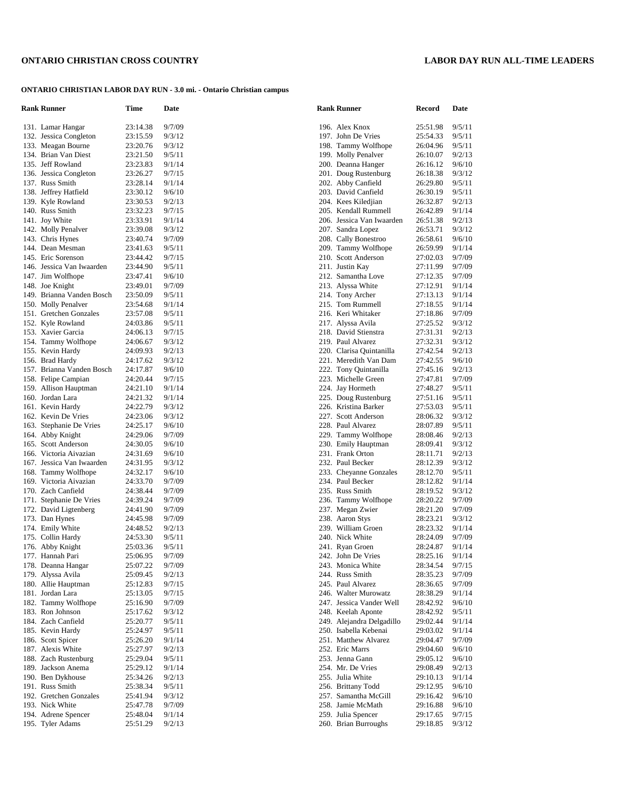# **ONTARIO CHRISTIAN CROSS COUNTRY LABOR DAY RUN ALL-TIME LEADERS**

# **ONTARIO CHRISTIAN LABOR DAY RUN - 3.0 mi. - Ontario Christian campus**

| <b>Rank Runner</b>        | Time     | Date   | <b>Rank Runner</b>        | Record   | Date             |
|---------------------------|----------|--------|---------------------------|----------|------------------|
| 131. Lamar Hangar         | 23:14.38 | 9/7/09 | 196. Alex Knox            | 25:51.98 | 9/5/11           |
| 132. Jessica Congleton    | 23:15.59 | 9/3/12 | 197. John De Vries        | 25:54.33 | 9/5/11           |
| 133. Meagan Bourne        | 23:20.76 | 9/3/12 | 198. Tammy Wolfhope       | 26:04.96 | 9/5/11           |
| 134. Brian Van Diest      | 23:21.50 | 9/5/11 | 199. Molly Penalver       | 26:10.07 | 9/2/13           |
| 135. Jeff Rowland         | 23:23.83 | 9/1/14 | 200. Deanna Hanger        | 26:16.12 | 9/6/10           |
| 136. Jessica Congleton    | 23:26.27 | 9/7/15 | 201. Doug Rustenburg      | 26:18.38 | 9/3/12           |
| 137. Russ Smith           | 23:28.14 | 9/1/14 | 202. Abby Canfield        | 26:29.80 | 9/5/11           |
| 138. Jeffrey Hatfield     | 23:30.12 | 9/6/10 | 203. David Canfield       | 26:30.19 | 9/5/11           |
| 139. Kyle Rowland         | 23:30.53 | 9/2/13 | 204. Kees Kiledjian       | 26:32.87 | 9/2/13           |
| 140. Russ Smith           | 23:32.23 | 9/7/15 | 205. Kendall Rummell      | 26:42.89 | 9/1/14           |
| 141. Joy White            | 23:33.91 | 9/1/14 | 206. Jessica Van Iwaarden | 26:51.38 | 9/2/13           |
| 142. Molly Penalver       | 23:39.08 | 9/3/12 | 207. Sandra Lopez         | 26:53.71 | 9/3/12           |
| 143. Chris Hynes          | 23:40.74 | 9/7/09 | 208. Cally Bonestroo      | 26:58.61 | 9/6/10           |
| 144. Dean Mesman          | 23:41.63 | 9/5/11 | 209. Tammy Wolfhope       | 26:59.99 | 9/1/14           |
| 145. Eric Sorenson        | 23:44.42 | 9/7/15 | 210. Scott Anderson       | 27:02.03 | 9/7/09           |
| 146. Jessica Van Iwaarden | 23:44.90 | 9/5/11 | 211. Justin Kay           | 27:11.99 | 9/7/09           |
| 147. Jim Wolfhope         | 23:47.41 | 9/6/10 | 212. Samantha Love        | 27:12.35 | 9/7/09           |
| 148. Joe Knight           | 23:49.01 | 9/7/09 | 213. Alyssa White         | 27:12.91 | 9/1/14           |
| 149. Brianna Vanden Bosch | 23:50.09 | 9/5/11 | 214. Tony Archer          | 27:13.13 | 9/1/14           |
| 150. Molly Penalver       | 23:54.68 | 9/1/14 | 215. Tom Rummell          | 27:18.55 | 9/1/14           |
| 151. Gretchen Gonzales    | 23:57.08 | 9/5/11 | 216. Keri Whitaker        | 27:18.86 | 9/7/09           |
| 152. Kyle Rowland         | 24:03.86 | 9/5/11 | 217. Alyssa Avila         | 27:25.52 | 9/3/12           |
| 153. Xavier Garcia        | 24:06.13 | 9/7/15 | 218. David Stienstra      | 27:31.31 | 9/2/13           |
|                           |          |        | 219. Paul Alvarez         |          |                  |
| 154. Tammy Wolfhope       | 24:06.67 | 9/3/12 |                           | 27:32.31 | 9/3/12<br>9/2/13 |
| 155. Kevin Hardy          | 24:09.93 | 9/2/13 | 220. Clarisa Quintanilla  | 27:42.54 |                  |
| 156. Brad Hardy           | 24:17.62 | 9/3/12 | 221. Meredith Van Dam     | 27:42.55 | 9/6/10           |
| 157. Brianna Vanden Bosch | 24:17.87 | 9/6/10 | 222. Tony Quintanilla     | 27:45.16 | 9/2/13           |
| 158. Felipe Campian       | 24:20.44 | 9/7/15 | 223. Michelle Green       | 27:47.81 | 9/7/09           |
| 159. Allison Hauptman     | 24:21.10 | 9/1/14 | 224. Jay Hormeth          | 27:48.27 | 9/5/11           |
| 160. Jordan Lara          | 24:21.32 | 9/1/14 | 225. Doug Rustenburg      | 27:51.16 | 9/5/11           |
| 161. Kevin Hardy          | 24:22.79 | 9/3/12 | 226. Kristina Barker      | 27:53.03 | 9/5/11           |
| 162. Kevin De Vries       | 24:23.06 | 9/3/12 | 227. Scott Anderson       | 28:06.32 | 9/3/12           |
| 163. Stephanie De Vries   | 24:25.17 | 9/6/10 | 228. Paul Alvarez         | 28:07.89 | 9/5/11           |
| 164. Abby Knight          | 24:29.06 | 9/7/09 | 229. Tammy Wolfhope       | 28:08.46 | 9/2/13           |
| 165. Scott Anderson       | 24:30.05 | 9/6/10 | 230. Emily Hauptman       | 28:09.41 | 9/3/12           |
| 166. Victoria Aivazian    | 24:31.69 | 9/6/10 | 231. Frank Orton          | 28:11.71 | 9/2/13           |
| 167. Jessica Van Iwaarden | 24:31.95 | 9/3/12 | 232. Paul Becker          | 28:12.39 | 9/3/12           |
| 168. Tammy Wolfhope       | 24:32.17 | 9/6/10 | 233. Cheyanne Gonzales    | 28:12.70 | 9/5/11           |
| 169. Victoria Aivazian    | 24:33.70 | 9/7/09 | 234. Paul Becker          | 28:12.82 | 9/1/14           |
| 170. Zach Canfield        | 24:38.44 | 9/7/09 | 235. Russ Smith           | 28:19.52 | 9/3/12           |
| 171. Stephanie De Vries   | 24:39.24 | 9/7/09 | 236. Tammy Wolfhope       | 28:20.22 | 9/7/09           |
| 172. David Ligtenberg     | 24:41.90 | 9/7/09 | 237. Megan Zwier          | 28:21.20 | 9/7/09           |
| 173. Dan Hynes            | 24:45.98 | 9/7/09 | 238. Aaron Stys           | 28:23.21 | 9/3/12           |
| 174. Emily White          | 24:48.52 | 9/2/13 | 239. William Groen        | 28:23.32 | 9/1/14           |
| 175. Collin Hardy         | 24:53.30 | 9/5/11 | 240. Nick White           | 28:24.09 | 9/7/09           |
| 176. Abby Knight          | 25:03.36 | 9/5/11 | 241. Ryan Groen           | 28:24.87 | 9/1/14           |
| 177. Hannah Pari          | 25:06.95 | 9/7/09 | 242. John De Vries        | 28:25.16 | 9/1/14           |
| 178. Deanna Hangar        | 25:07.22 | 9/7/09 | 243. Monica White         | 28:34.54 | 9/7/15           |
| 179. Alyssa Avila         | 25:09.45 | 9/2/13 | 244. Russ Smith           | 28:35.23 | 9/7/09           |
| 180. Allie Hauptman       | 25:12.83 | 9/7/15 | 245. Paul Alvarez         | 28:36.65 | 9/7/09           |
| 181. Jordan Lara          | 25:13.05 | 9/7/15 | 246. Walter Murowatz      | 28:38.29 | 9/1/14           |
| 182. Tammy Wolfhope       | 25:16.90 | 9/7/09 | 247. Jessica Vander Well  | 28:42.92 | 9/6/10           |
| 183. Ron Johnson          | 25:17.62 | 9/3/12 | 248. Keelah Aponte        | 28:42.92 | 9/5/11           |
| 184. Zach Canfield        | 25:20.77 | 9/5/11 | 249. Alejandra Delgadillo | 29:02.44 | 9/1/14           |
| 185. Kevin Hardy          | 25:24.97 | 9/5/11 | 250. Isabella Kebenai     | 29:03.02 | 9/1/14           |
| 186. Scott Spicer         | 25:26.20 | 9/1/14 | 251. Matthew Alvarez      | 29:04.47 | 9/7/09           |
| 187. Alexis White         | 25:27.97 | 9/2/13 | 252. Eric Marrs           | 29:04.60 | 9/6/10           |
| 188. Zach Rustenburg      | 25:29.04 |        | 253. Jenna Gann           |          | 9/6/10           |
|                           |          | 9/5/11 |                           | 29:05.12 |                  |
| 189. Jackson Anema        | 25:29.12 | 9/1/14 | 254. Mr. De Vries         | 29:08.49 | 9/2/13           |
| 190. Ben Dykhouse         | 25:34.26 | 9/2/13 | 255. Julia White          | 29:10.13 | 9/1/14           |
| 191. Russ Smith           | 25:38.34 | 9/5/11 | 256. Brittany Todd        | 29:12.95 | 9/6/10           |
| 192. Gretchen Gonzales    | 25:41.94 | 9/3/12 | 257. Samantha McGill      | 29:16.42 | 9/6/10           |
| 193. Nick White           | 25:47.78 | 9/7/09 | 258. Jamie McMath         | 29:16.88 | 9/6/10           |
| 194. Adrene Spencer       | 25:48.04 | 9/1/14 | 259. Julia Spencer        | 29:17.65 | 9/7/15           |
| 195. Tyler Adams          | 25:51.29 | 9/2/13 | 260. Brian Burroughs      | 29:18.85 | 9/3/12           |